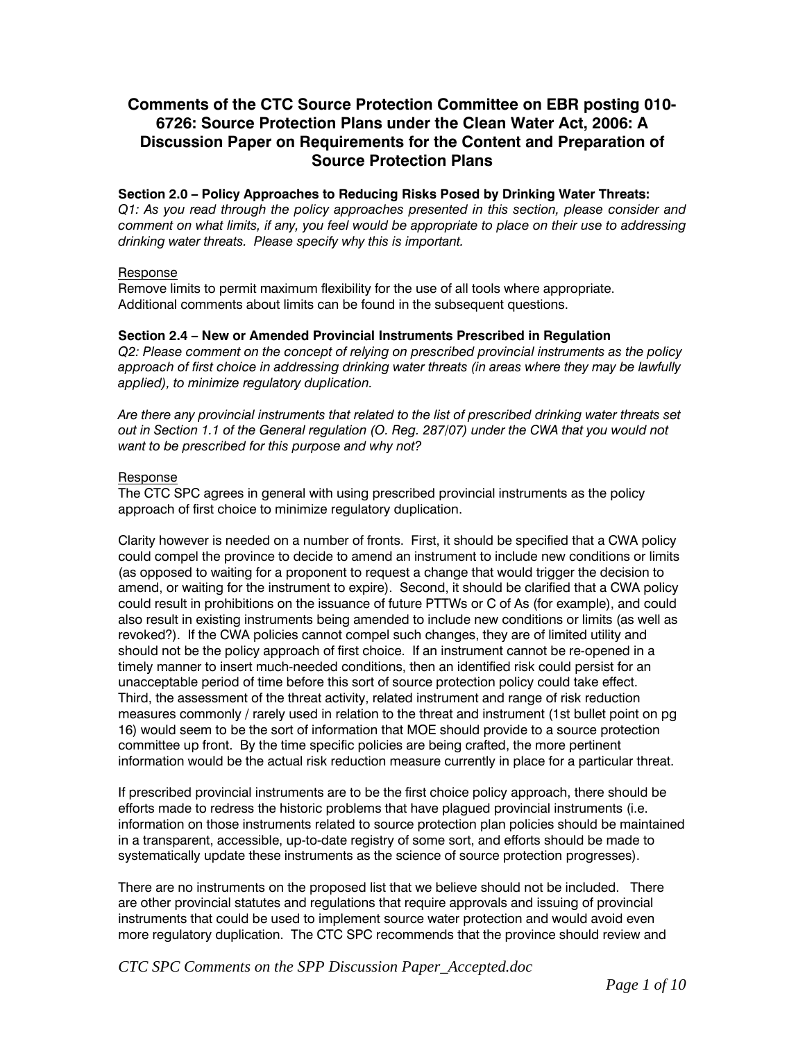# **Comments of the CTC Source Protection Committee on EBR posting 010- 6726: Source Protection Plans under the Clean Water Act, 2006: A Discussion Paper on Requirements for the Content and Preparation of Source Protection Plans**

### **Section 2.0 – Policy Approaches to Reducing Risks Posed by Drinking Water Threats:**

Q1: As you read through the policy approaches presented in this section, please consider and *comment on what limits, if any, you feel would be appropriate to place on their use to addressing drinking water threats. Please specify why this is important.* 

### Response

Remove limits to permit maximum flexibility for the use of all tools where appropriate. Additional comments about limits can be found in the subsequent questions.

### **Section 2.4 – New or Amended Provincial Instruments Prescribed in Regulation**

*Q2: Please comment on the concept of relying on prescribed provincial instruments as the policy approach of first choice in addressing drinking water threats (in areas where they may be lawfully applied), to minimize regulatory duplication.* 

*Are there any provincial instruments that related to the list of prescribed drinking water threats set out in Section 1.1 of the General regulation (O. Reg. 287/07) under the CWA that you would not want to be prescribed for this purpose and why not?* 

### Response

The CTC SPC agrees in general with using prescribed provincial instruments as the policy approach of first choice to minimize regulatory duplication.

Clarity however is needed on a number of fronts. First, it should be specified that a CWA policy could compel the province to decide to amend an instrument to include new conditions or limits (as opposed to waiting for a proponent to request a change that would trigger the decision to amend, or waiting for the instrument to expire). Second, it should be clarified that a CWA policy could result in prohibitions on the issuance of future PTTWs or C of As (for example), and could also result in existing instruments being amended to include new conditions or limits (as well as revoked?). If the CWA policies cannot compel such changes, they are of limited utility and should not be the policy approach of first choice. If an instrument cannot be re-opened in a timely manner to insert much-needed conditions, then an identified risk could persist for an unacceptable period of time before this sort of source protection policy could take effect. Third, the assessment of the threat activity, related instrument and range of risk reduction measures commonly / rarely used in relation to the threat and instrument (1st bullet point on pg 16) would seem to be the sort of information that MOE should provide to a source protection committee up front. By the time specific policies are being crafted, the more pertinent information would be the actual risk reduction measure currently in place for a particular threat.

If prescribed provincial instruments are to be the first choice policy approach, there should be efforts made to redress the historic problems that have plagued provincial instruments (i.e. information on those instruments related to source protection plan policies should be maintained in a transparent, accessible, up-to-date registry of some sort, and efforts should be made to systematically update these instruments as the science of source protection progresses).

There are no instruments on the proposed list that we believe should not be included. There are other provincial statutes and regulations that require approvals and issuing of provincial instruments that could be used to implement source water protection and would avoid even more regulatory duplication. The CTC SPC recommends that the province should review and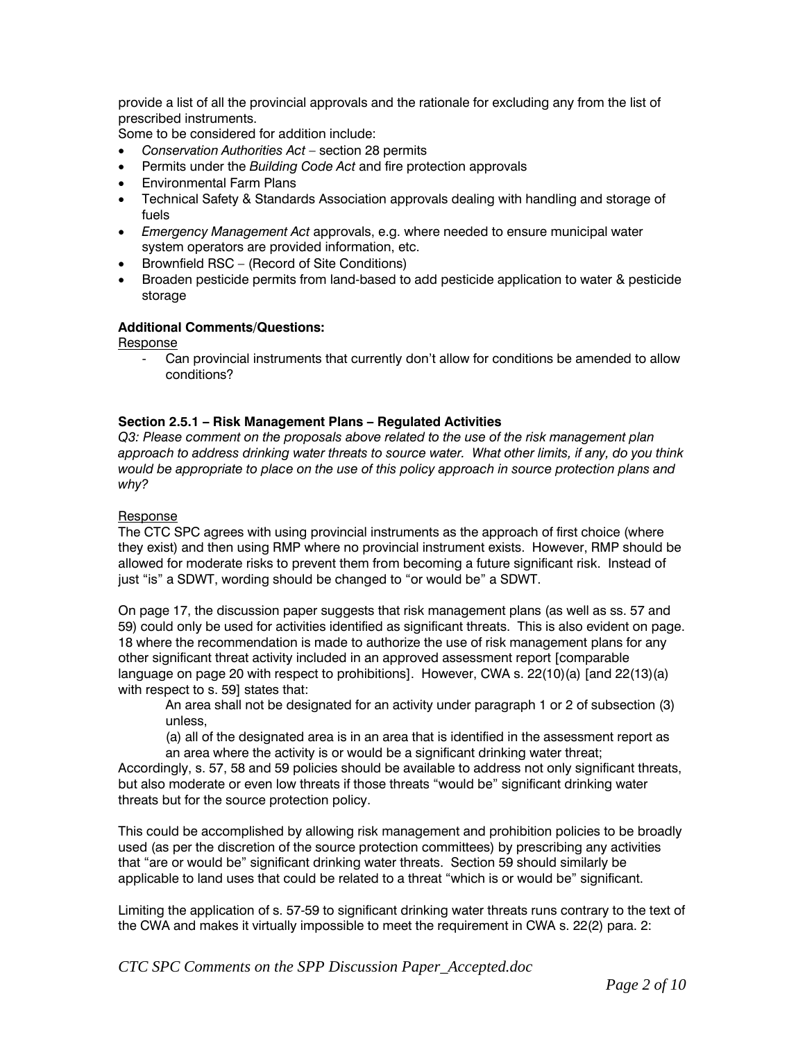provide a list of all the provincial approvals and the rationale for excluding any from the list of prescribed instruments.

Some to be considered for addition include:

- *Conservation Authorities Act* section 28 permits
- Permits under the *Building Code Act* and fire protection approvals
- Environmental Farm Plans
- Technical Safety & Standards Association approvals dealing with handling and storage of fuels
- *Emergency Management Act* approvals, e.g. where needed to ensure municipal water system operators are provided information, etc.
- Brownfield RSC (Record of Site Conditions)
- Broaden pesticide permits from land-based to add pesticide application to water & pesticide storage

### **Additional Comments/Questions:**

Response

Can provincial instruments that currently don't allow for conditions be amended to allow conditions?

### **Section 2.5.1 – Risk Management Plans – Regulated Activities**

*Q3: Please comment on the proposals above related to the use of the risk management plan approach to address drinking water threats to source water. What other limits, if any, do you think would be appropriate to place on the use of this policy approach in source protection plans and why?* 

### Response

The CTC SPC agrees with using provincial instruments as the approach of first choice (where they exist) and then using RMP where no provincial instrument exists. However, RMP should be allowed for moderate risks to prevent them from becoming a future significant risk. Instead of just "is" a SDWT, wording should be changed to "or would be" a SDWT.

On page 17, the discussion paper suggests that risk management plans (as well as ss. 57 and 59) could only be used for activities identified as significant threats. This is also evident on page. 18 where the recommendation is made to authorize the use of risk management plans for any other significant threat activity included in an approved assessment report [comparable language on page 20 with respect to prohibitions]. However, CWA s. 22(10)(a) [and 22(13)(a) with respect to s. 59] states that:

An area shall not be designated for an activity under paragraph 1 or 2 of subsection (3) unless,

(a) all of the designated area is in an area that is identified in the assessment report as an area where the activity is or would be a significant drinking water threat;

Accordingly, s. 57, 58 and 59 policies should be available to address not only significant threats, but also moderate or even low threats if those threats "would be" significant drinking water threats but for the source protection policy.

This could be accomplished by allowing risk management and prohibition policies to be broadly used (as per the discretion of the source protection committees) by prescribing any activities that "are or would be" significant drinking water threats. Section 59 should similarly be applicable to land uses that could be related to a threat "which is or would be" significant.

Limiting the application of s. 57-59 to significant drinking water threats runs contrary to the text of the CWA and makes it virtually impossible to meet the requirement in CWA s. 22(2) para. 2: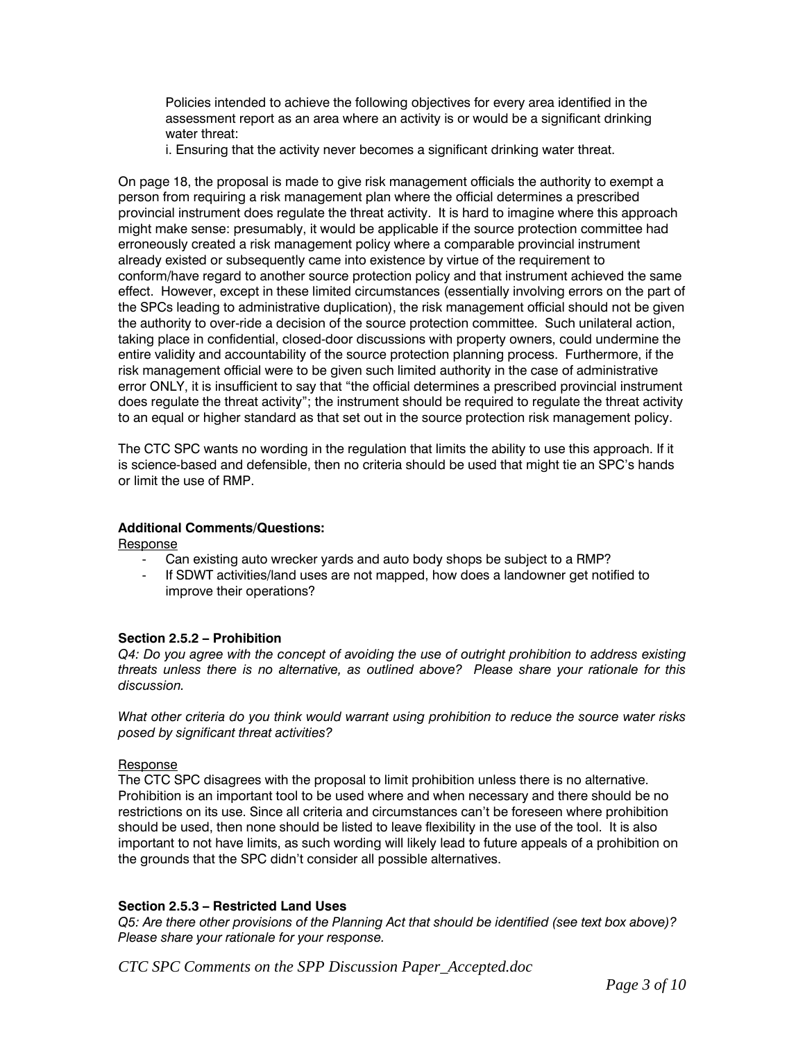Policies intended to achieve the following objectives for every area identified in the assessment report as an area where an activity is or would be a significant drinking water threat:

i. Ensuring that the activity never becomes a significant drinking water threat.

On page 18, the proposal is made to give risk management officials the authority to exempt a person from requiring a risk management plan where the official determines a prescribed provincial instrument does regulate the threat activity. It is hard to imagine where this approach might make sense: presumably, it would be applicable if the source protection committee had erroneously created a risk management policy where a comparable provincial instrument already existed or subsequently came into existence by virtue of the requirement to conform/have regard to another source protection policy and that instrument achieved the same effect. However, except in these limited circumstances (essentially involving errors on the part of the SPCs leading to administrative duplication), the risk management official should not be given the authority to over-ride a decision of the source protection committee. Such unilateral action, taking place in confidential, closed-door discussions with property owners, could undermine the entire validity and accountability of the source protection planning process. Furthermore, if the risk management official were to be given such limited authority in the case of administrative error ONLY, it is insufficient to say that "the official determines a prescribed provincial instrument does regulate the threat activity"; the instrument should be required to regulate the threat activity to an equal or higher standard as that set out in the source protection risk management policy.

The CTC SPC wants no wording in the regulation that limits the ability to use this approach. If it is science-based and defensible, then no criteria should be used that might tie an SPC's hands or limit the use of RMP.

# **Additional Comments/Questions:**

Response

- Can existing auto wrecker yards and auto body shops be subject to a RMP?
- If SDWT activities/land uses are not mapped, how does a landowner get notified to improve their operations?

#### **Section 2.5.2 – Prohibition**

*Q4: Do you agree with the concept of avoiding the use of outright prohibition to address existing threats unless there is no alternative, as outlined above? Please share your rationale for this discussion.* 

*What other criteria do you think would warrant using prohibition to reduce the source water risks posed by significant threat activities?* 

#### Response

The CTC SPC disagrees with the proposal to limit prohibition unless there is no alternative. Prohibition is an important tool to be used where and when necessary and there should be no restrictions on its use. Since all criteria and circumstances can't be foreseen where prohibition should be used, then none should be listed to leave flexibility in the use of the tool. It is also important to not have limits, as such wording will likely lead to future appeals of a prohibition on the grounds that the SPC didn't consider all possible alternatives.

# **Section 2.5.3 – Restricted Land Uses**

*Q5: Are there other provisions of the Planning Act that should be identified (see text box above)? Please share your rationale for your response.*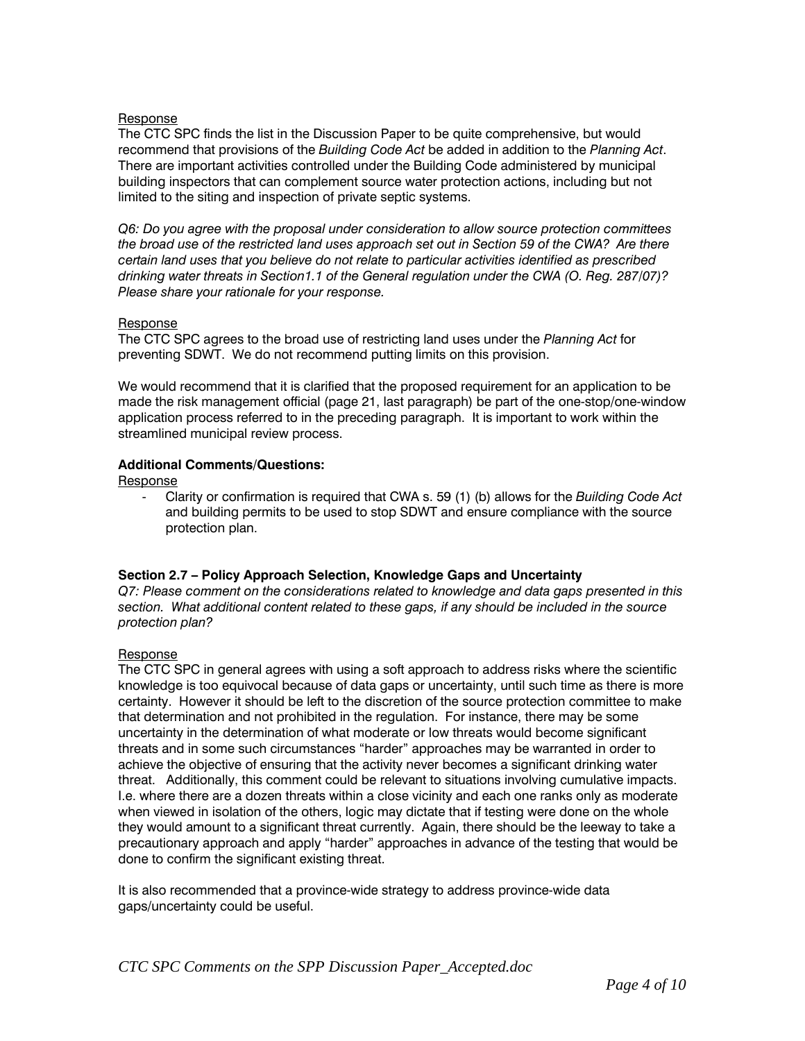### Response

The CTC SPC finds the list in the Discussion Paper to be quite comprehensive, but would recommend that provisions of the *Building Code Act* be added in addition to the *Planning Act*. There are important activities controlled under the Building Code administered by municipal building inspectors that can complement source water protection actions, including but not limited to the siting and inspection of private septic systems.

*Q6: Do you agree with the proposal under consideration to allow source protection committees the broad use of the restricted land uses approach set out in Section 59 of the CWA? Are there certain land uses that you believe do not relate to particular activities identified as prescribed drinking water threats in Section1.1 of the General regulation under the CWA (O. Reg. 287/07)? Please share your rationale for your response.* 

### Response

The CTC SPC agrees to the broad use of restricting land uses under the *Planning Act* for preventing SDWT. We do not recommend putting limits on this provision.

We would recommend that it is clarified that the proposed requirement for an application to be made the risk management official (page 21, last paragraph) be part of the one-stop/one-window application process referred to in the preceding paragraph. It is important to work within the streamlined municipal review process.

### **Additional Comments/Questions:**

Response

- Clarity or confirmation is required that CWA s. 59 (1) (b) allows for the *Building Code Act* and building permits to be used to stop SDWT and ensure compliance with the source protection plan.

# **Section 2.7 – Policy Approach Selection, Knowledge Gaps and Uncertainty**

*Q7: Please comment on the considerations related to knowledge and data gaps presented in this section. What additional content related to these gaps, if any should be included in the source protection plan?* 

# Response

The CTC SPC in general agrees with using a soft approach to address risks where the scientific knowledge is too equivocal because of data gaps or uncertainty, until such time as there is more certainty. However it should be left to the discretion of the source protection committee to make that determination and not prohibited in the regulation. For instance, there may be some uncertainty in the determination of what moderate or low threats would become significant threats and in some such circumstances "harder" approaches may be warranted in order to achieve the objective of ensuring that the activity never becomes a significant drinking water threat. Additionally, this comment could be relevant to situations involving cumulative impacts. I.e. where there are a dozen threats within a close vicinity and each one ranks only as moderate when viewed in isolation of the others, logic may dictate that if testing were done on the whole they would amount to a significant threat currently. Again, there should be the leeway to take a precautionary approach and apply "harder" approaches in advance of the testing that would be done to confirm the significant existing threat.

It is also recommended that a province-wide strategy to address province-wide data gaps/uncertainty could be useful.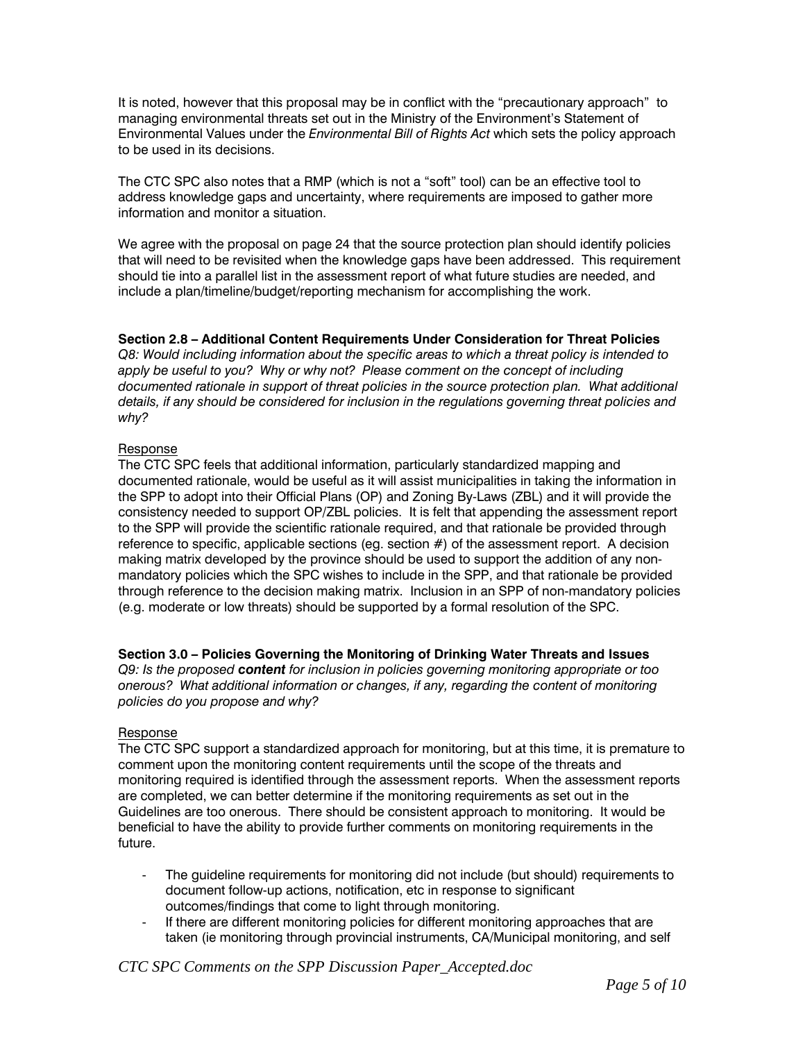It is noted, however that this proposal may be in conflict with the "precautionary approach" to managing environmental threats set out in the Ministry of the Environment's Statement of Environmental Values under the *Environmental Bill of Rights Act* which sets the policy approach to be used in its decisions.

The CTC SPC also notes that a RMP (which is not a "soft" tool) can be an effective tool to address knowledge gaps and uncertainty, where requirements are imposed to gather more information and monitor a situation.

We agree with the proposal on page 24 that the source protection plan should identify policies that will need to be revisited when the knowledge gaps have been addressed. This requirement should tie into a parallel list in the assessment report of what future studies are needed, and include a plan/timeline/budget/reporting mechanism for accomplishing the work.

# **Section 2.8 – Additional Content Requirements Under Consideration for Threat Policies**

*Q8: Would including information about the specific areas to which a threat policy is intended to apply be useful to you? Why or why not? Please comment on the concept of including*  documented rationale in support of threat policies in the source protection plan. What additional *details, if any should be considered for inclusion in the regulations governing threat policies and why?* 

### Response

The CTC SPC feels that additional information, particularly standardized mapping and documented rationale, would be useful as it will assist municipalities in taking the information in the SPP to adopt into their Official Plans (OP) and Zoning By-Laws (ZBL) and it will provide the consistency needed to support OP/ZBL policies. It is felt that appending the assessment report to the SPP will provide the scientific rationale required, and that rationale be provided through reference to specific, applicable sections (eg. section #) of the assessment report. A decision making matrix developed by the province should be used to support the addition of any nonmandatory policies which the SPC wishes to include in the SPP, and that rationale be provided through reference to the decision making matrix. Inclusion in an SPP of non-mandatory policies (e.g. moderate or low threats) should be supported by a formal resolution of the SPC.

# **Section 3.0 – Policies Governing the Monitoring of Drinking Water Threats and Issues**

*Q9: Is the proposed content for inclusion in policies governing monitoring appropriate or too onerous? What additional information or changes, if any, regarding the content of monitoring policies do you propose and why?* 

# Response

The CTC SPC support a standardized approach for monitoring, but at this time, it is premature to comment upon the monitoring content requirements until the scope of the threats and monitoring required is identified through the assessment reports. When the assessment reports are completed, we can better determine if the monitoring requirements as set out in the Guidelines are too onerous. There should be consistent approach to monitoring. It would be beneficial to have the ability to provide further comments on monitoring requirements in the future.

- The guideline requirements for monitoring did not include (but should) requirements to document follow-up actions, notification, etc in response to significant outcomes/findings that come to light through monitoring.
- If there are different monitoring policies for different monitoring approaches that are taken (ie monitoring through provincial instruments, CA/Municipal monitoring, and self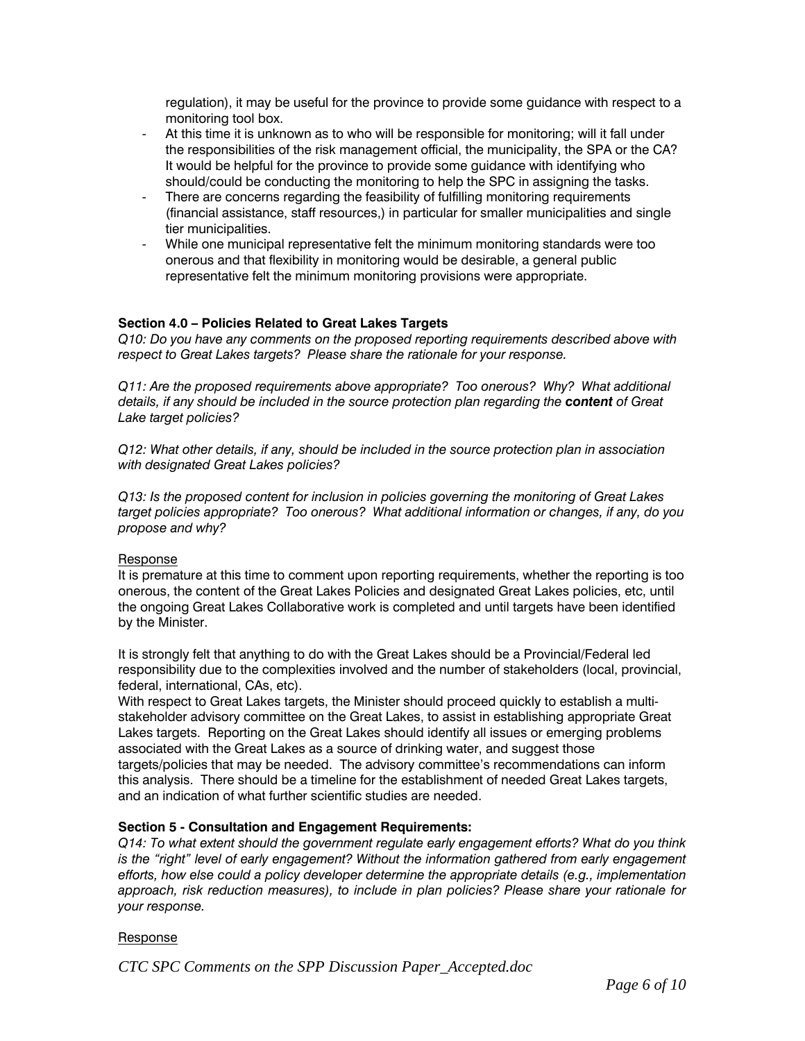regulation), it may be useful for the province to provide some guidance with respect to a monitoring tool box.

- At this time it is unknown as to who will be responsible for monitoring; will it fall under the responsibilities of the risk management official, the municipality, the SPA or the CA? It would be helpful for the province to provide some guidance with identifying who should/could be conducting the monitoring to help the SPC in assigning the tasks.
- There are concerns regarding the feasibility of fulfilling monitoring requirements (financial assistance, staff resources,) in particular for smaller municipalities and single tier municipalities.
- While one municipal representative felt the minimum monitoring standards were too onerous and that flexibility in monitoring would be desirable, a general public representative felt the minimum monitoring provisions were appropriate.

# **Section 4.0 – Policies Related to Great Lakes Targets**

*Q10: Do you have any comments on the proposed reporting requirements described above with respect to Great Lakes targets? Please share the rationale for your response.* 

*Q11: Are the proposed requirements above appropriate? Too onerous? Why? What additional details, if any should be included in the source protection plan regarding the content of Great Lake target policies?* 

*Q12: What other details, if any, should be included in the source protection plan in association with designated Great Lakes policies?* 

*Q13: Is the proposed content for inclusion in policies governing the monitoring of Great Lakes target policies appropriate? Too onerous? What additional information or changes, if any, do you propose and why?* 

# Response

It is premature at this time to comment upon reporting requirements, whether the reporting is too onerous, the content of the Great Lakes Policies and designated Great Lakes policies, etc, until the ongoing Great Lakes Collaborative work is completed and until targets have been identified by the Minister.

It is strongly felt that anything to do with the Great Lakes should be a Provincial/Federal led responsibility due to the complexities involved and the number of stakeholders (local, provincial, federal, international, CAs, etc).

With respect to Great Lakes targets, the Minister should proceed quickly to establish a multistakeholder advisory committee on the Great Lakes, to assist in establishing appropriate Great Lakes targets. Reporting on the Great Lakes should identify all issues or emerging problems associated with the Great Lakes as a source of drinking water, and suggest those targets/policies that may be needed. The advisory committee's recommendations can inform this analysis. There should be a timeline for the establishment of needed Great Lakes targets, and an indication of what further scientific studies are needed.

# **Section 5 - Consultation and Engagement Requirements:**

*Q14: To what extent should the government regulate early engagement efforts? What do you think*  is the "right" level of early engagement? Without the information gathered from early engagement *efforts, how else could a policy developer determine the appropriate details (e.g., implementation approach, risk reduction measures), to include in plan policies? Please share your rationale for your response.* 

#### Response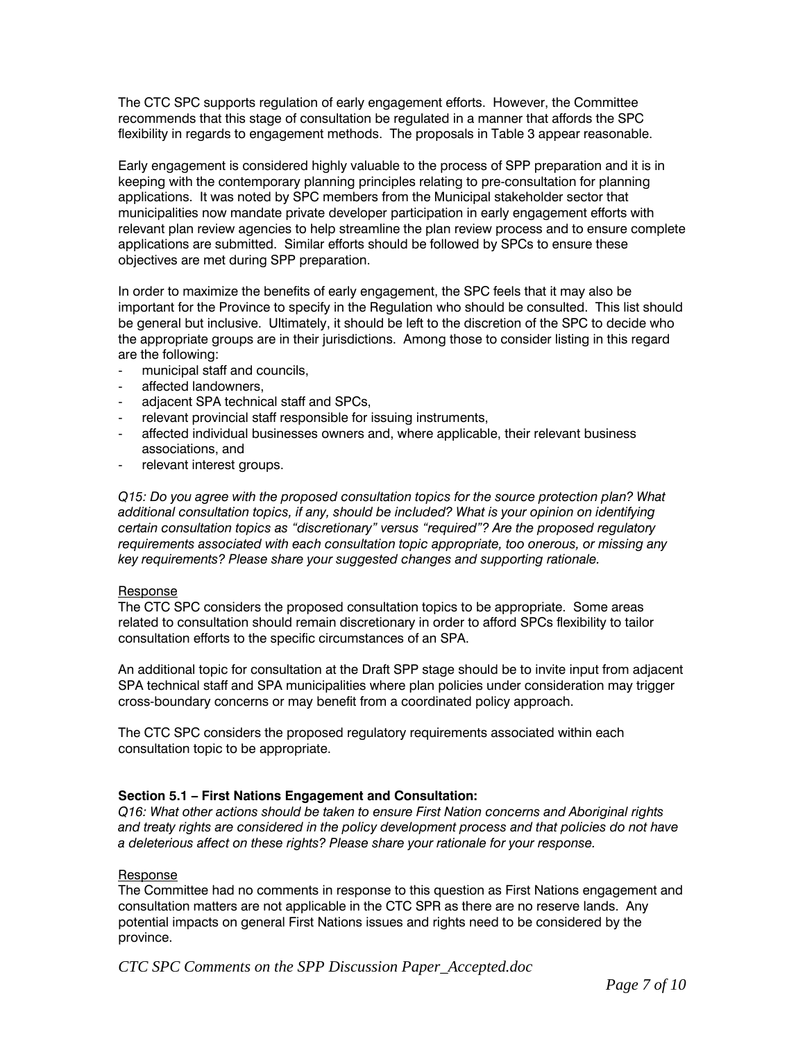The CTC SPC supports regulation of early engagement efforts. However, the Committee recommends that this stage of consultation be regulated in a manner that affords the SPC flexibility in regards to engagement methods. The proposals in Table 3 appear reasonable.

Early engagement is considered highly valuable to the process of SPP preparation and it is in keeping with the contemporary planning principles relating to pre-consultation for planning applications. It was noted by SPC members from the Municipal stakeholder sector that municipalities now mandate private developer participation in early engagement efforts with relevant plan review agencies to help streamline the plan review process and to ensure complete applications are submitted. Similar efforts should be followed by SPCs to ensure these objectives are met during SPP preparation.

In order to maximize the benefits of early engagement, the SPC feels that it may also be important for the Province to specify in the Regulation who should be consulted. This list should be general but inclusive. Ultimately, it should be left to the discretion of the SPC to decide who the appropriate groups are in their jurisdictions. Among those to consider listing in this regard are the following:

- municipal staff and councils,
- affected landowners.
- adjacent SPA technical staff and SPCs,
- relevant provincial staff responsible for issuing instruments,
- affected individual businesses owners and, where applicable, their relevant business associations, and
- relevant interest groups.

*Q15: Do you agree with the proposed consultation topics for the source protection plan? What additional consultation topics, if any, should be included? What is your opinion on identifying certain consultation topics as "discretionary" versus "required"? Are the proposed regulatory requirements associated with each consultation topic appropriate, too onerous, or missing any key requirements? Please share your suggested changes and supporting rationale.* 

#### Response

The CTC SPC considers the proposed consultation topics to be appropriate. Some areas related to consultation should remain discretionary in order to afford SPCs flexibility to tailor consultation efforts to the specific circumstances of an SPA.

An additional topic for consultation at the Draft SPP stage should be to invite input from adjacent SPA technical staff and SPA municipalities where plan policies under consideration may trigger cross-boundary concerns or may benefit from a coordinated policy approach.

The CTC SPC considers the proposed regulatory requirements associated within each consultation topic to be appropriate.

# **Section 5.1 – First Nations Engagement and Consultation:**

*Q16: What other actions should be taken to ensure First Nation concerns and Aboriginal rights and treaty rights are considered in the policy development process and that policies do not have a deleterious affect on these rights? Please share your rationale for your response.* 

#### Response

The Committee had no comments in response to this question as First Nations engagement and consultation matters are not applicable in the CTC SPR as there are no reserve lands. Any potential impacts on general First Nations issues and rights need to be considered by the province.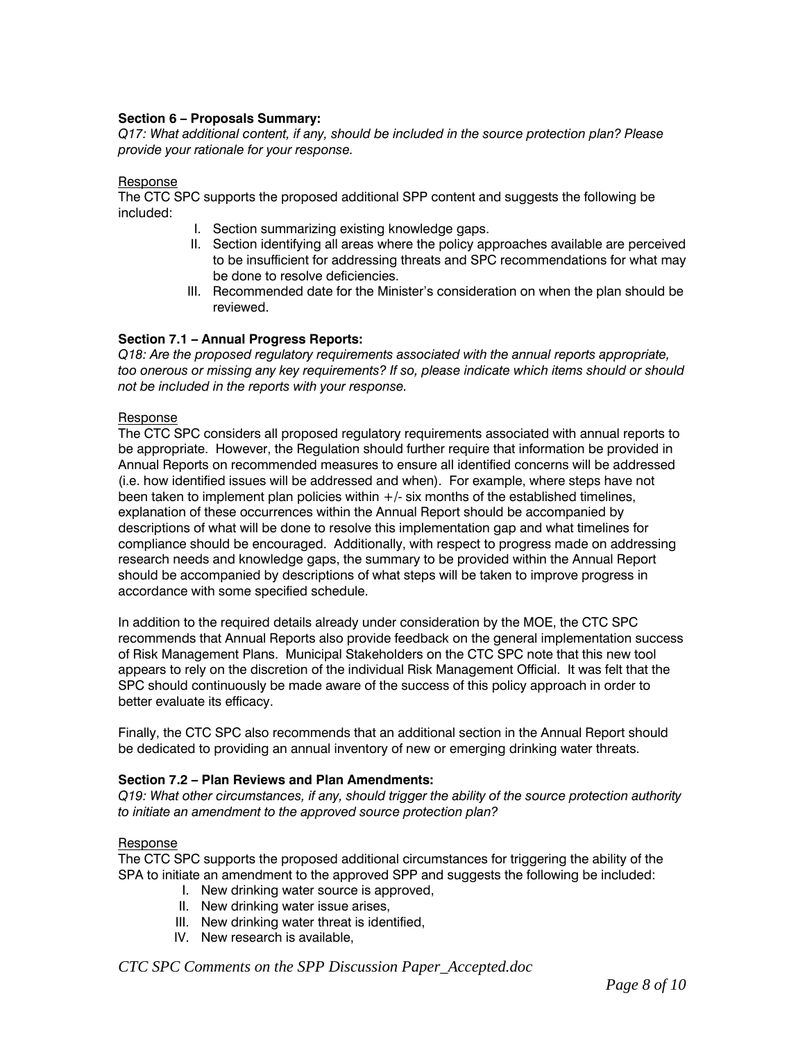### **Section 6 – Proposals Summary:**

*Q17: What additional content, if any, should be included in the source protection plan? Please provide your rationale for your response.* 

#### Response

The CTC SPC supports the proposed additional SPP content and suggests the following be included:

- I. Section summarizing existing knowledge gaps.
- II. Section identifying all areas where the policy approaches available are perceived to be insufficient for addressing threats and SPC recommendations for what may be done to resolve deficiencies.
- III. Recommended date for the Minister's consideration on when the plan should be reviewed.

### **Section 7.1 – Annual Progress Reports:**

*Q18: Are the proposed regulatory requirements associated with the annual reports appropriate, too onerous or missing any key requirements? If so, please indicate which items should or should not be included in the reports with your response.* 

#### Response

The CTC SPC considers all proposed regulatory requirements associated with annual reports to be appropriate. However, the Regulation should further require that information be provided in Annual Reports on recommended measures to ensure all identified concerns will be addressed (i.e. how identified issues will be addressed and when). For example, where steps have not been taken to implement plan policies within  $+/-$  six months of the established timelines, explanation of these occurrences within the Annual Report should be accompanied by descriptions of what will be done to resolve this implementation gap and what timelines for compliance should be encouraged. Additionally, with respect to progress made on addressing research needs and knowledge gaps, the summary to be provided within the Annual Report should be accompanied by descriptions of what steps will be taken to improve progress in accordance with some specified schedule.

In addition to the required details already under consideration by the MOE, the CTC SPC recommends that Annual Reports also provide feedback on the general implementation success of Risk Management Plans. Municipal Stakeholders on the CTC SPC note that this new tool appears to rely on the discretion of the individual Risk Management Official. It was felt that the SPC should continuously be made aware of the success of this policy approach in order to better evaluate its efficacy.

Finally, the CTC SPC also recommends that an additional section in the Annual Report should be dedicated to providing an annual inventory of new or emerging drinking water threats.

### **Section 7.2 – Plan Reviews and Plan Amendments:**

*Q19: What other circumstances, if any, should trigger the ability of the source protection authority to initiate an amendment to the approved source protection plan?* 

#### Response

The CTC SPC supports the proposed additional circumstances for triggering the ability of the SPA to initiate an amendment to the approved SPP and suggests the following be included:

- I. New drinking water source is approved,
- II. New drinking water issue arises,
- III. New drinking water threat is identified,
- IV. New research is available,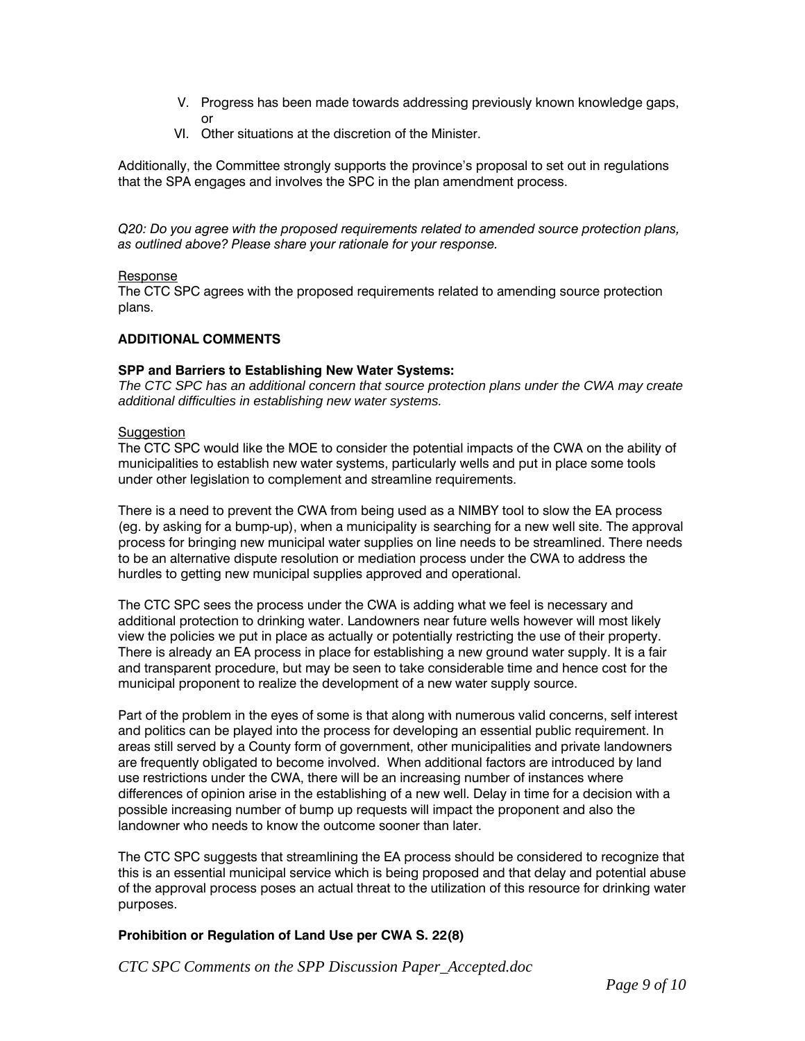- V. Progress has been made towards addressing previously known knowledge gaps, or
- VI. Other situations at the discretion of the Minister.

Additionally, the Committee strongly supports the province's proposal to set out in regulations that the SPA engages and involves the SPC in the plan amendment process.

*Q20: Do you agree with the proposed requirements related to amended source protection plans, as outlined above? Please share your rationale for your response.* 

### Response

The CTC SPC agrees with the proposed requirements related to amending source protection plans.

# **ADDITIONAL COMMENTS**

### **SPP and Barriers to Establishing New Water Systems:**

*The CTC SPC has an additional concern that source protection plans under the CWA may create additional difficulties in establishing new water systems.* 

### **Suggestion**

The CTC SPC would like the MOE to consider the potential impacts of the CWA on the ability of municipalities to establish new water systems, particularly wells and put in place some tools under other legislation to complement and streamline requirements.

There is a need to prevent the CWA from being used as a NIMBY tool to slow the EA process (eg. by asking for a bump-up), when a municipality is searching for a new well site. The approval process for bringing new municipal water supplies on line needs to be streamlined. There needs to be an alternative dispute resolution or mediation process under the CWA to address the hurdles to getting new municipal supplies approved and operational.

The CTC SPC sees the process under the CWA is adding what we feel is necessary and additional protection to drinking water. Landowners near future wells however will most likely view the policies we put in place as actually or potentially restricting the use of their property. There is already an EA process in place for establishing a new ground water supply. It is a fair and transparent procedure, but may be seen to take considerable time and hence cost for the municipal proponent to realize the development of a new water supply source.

Part of the problem in the eyes of some is that along with numerous valid concerns, self interest and politics can be played into the process for developing an essential public requirement. In areas still served by a County form of government, other municipalities and private landowners are frequently obligated to become involved. When additional factors are introduced by land use restrictions under the CWA, there will be an increasing number of instances where differences of opinion arise in the establishing of a new well. Delay in time for a decision with a possible increasing number of bump up requests will impact the proponent and also the landowner who needs to know the outcome sooner than later.

The CTC SPC suggests that streamlining the EA process should be considered to recognize that this is an essential municipal service which is being proposed and that delay and potential abuse of the approval process poses an actual threat to the utilization of this resource for drinking water purposes.

# **Prohibition or Regulation of Land Use per CWA S. 22(8)**